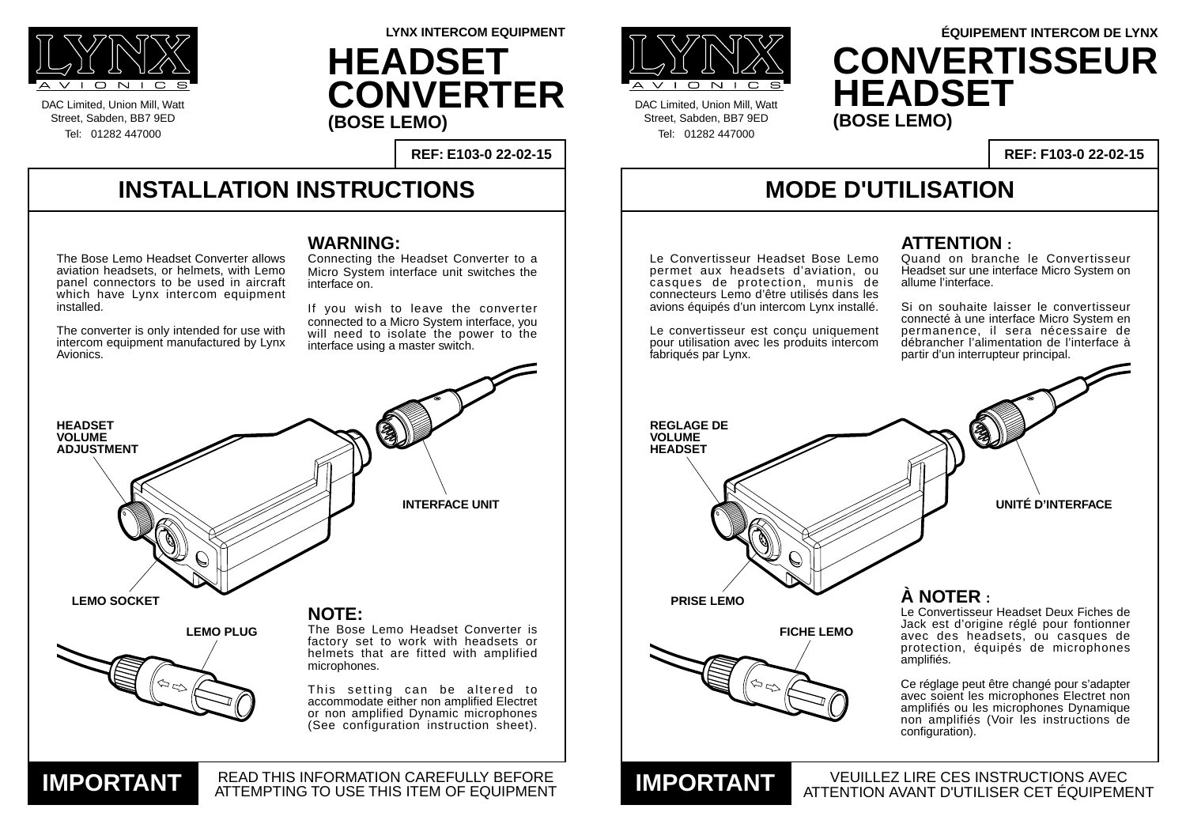### **INSTALLATION INSTRUCTIONS**

DAC Limited, Union Mill, Watt Street, Sabden, BB7 9ED Tel: 01282 447000



DAC Limited, Union Mill, Watt Street, Sabden, BB7 9ED Tel: 01282 447000

**REF: E103-0 22-02-15**

**LYNX INTERCOM EQUIPMENT**

## **MODE D'UTILISATION**

VEUILLEZ LIRE CES INSTRUCTIONS AVEC

**REF: F103-0 22-02-15**

#### **WARNING:**

Connecting the Headset Converter to a Micro System interface unit switches the interface on.

If you wish to leave the converter connected to a Micro System interface, you will need to isolate the power to the interface using a master switch.

#### **ATTENTION :**





Quand on branche le Convertisseur Headset sur une interface Micro System on allume l'interface.

Si on souhaite laisser le convertisseur connecté à une interface Micro System en permanence, il sera nécessaire de débrancher l'alimentation de l'interface à partir d'un interrupteur principal.

The Bose Lemo Headset Converter allows aviation headsets, or helmets, with Lemo panel connectors to be used in aircraft which have Lynx intercom equipment installed.



# **ÉQUIPEMENT INTERCOM DE LYNX CONVERTISSEUR HEADSET**

The converter is only intended for use with intercom equipment manufactured by Lynx Avionics.

**HEADSET CONVERTER (BOSE LEMO)**

> Le Convertisseur Headset Bose Lemo permet aux headsets d'aviation, ou casques de protection, munis de connecteurs Lemo d'être utilisés dans les avions équipés d'un intercom Lynx installé.

> Le convertisseur est conçu uniquement pour utilisation avec les produits intercom fabriqués par Lynx.



**UNITÉ D'INTERFACE**

Le Convertisseur Headset Deux Fiches de Jack est d'origine réglé pour fontionner avec des headsets, ou casques de protection, équipés de microphones amplifiés.

Ce réglage peut être changé pour s'adapter avec soient les microphones Electret non amplifiés ou les microphones Dynamique non amplifiés (Voir les instructions de configuration).